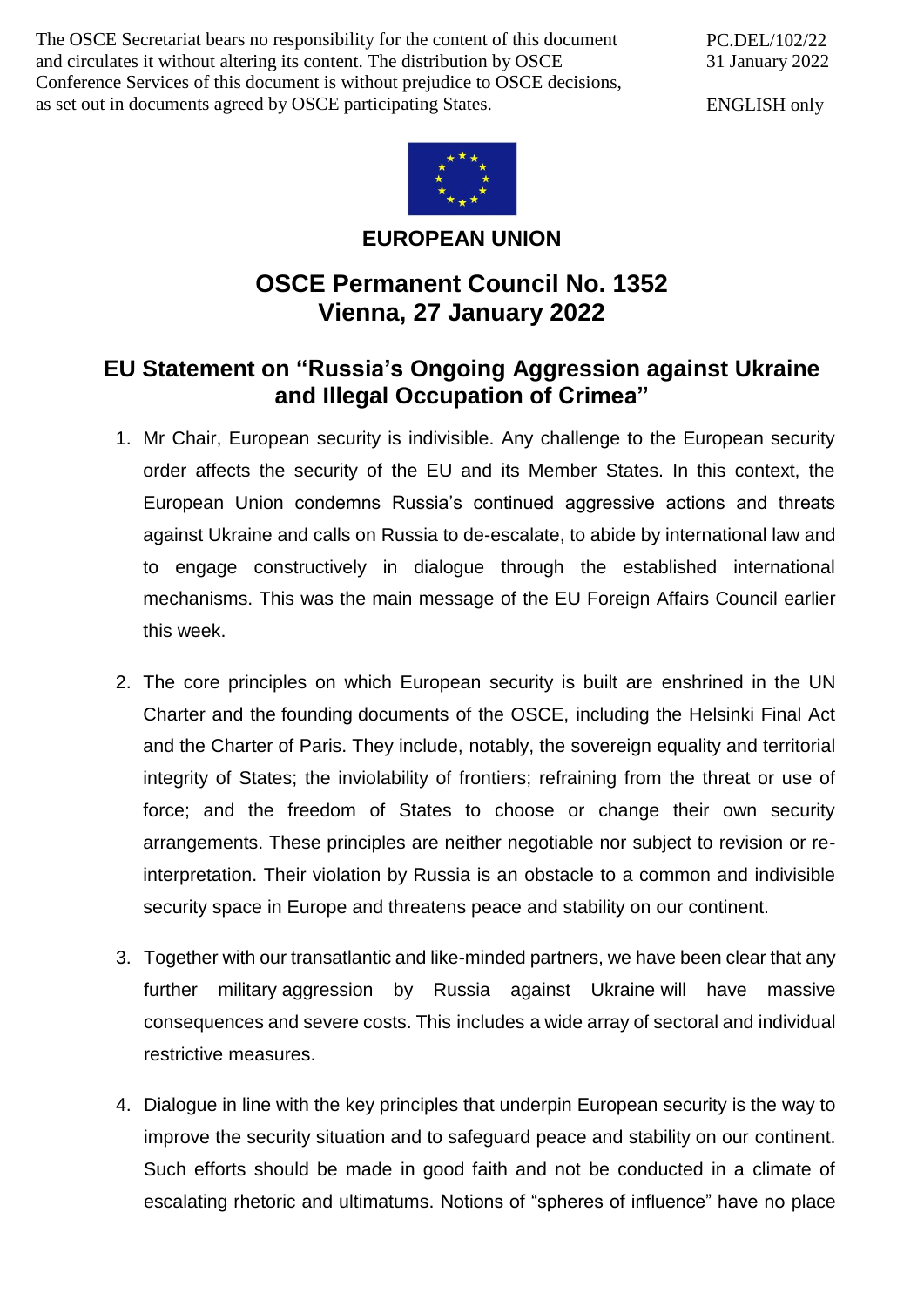The OSCE Secretariat bears no responsibility for the content of this document and circulates it without altering its content. The distribution by OSCE Conference Services of this document is without prejudice to OSCE decisions, as set out in documents agreed by OSCE participating States.

PC.DEL/102/22 31 January 2022

ENGLISH only



**EUROPEAN UNION**

## **OSCE Permanent Council No. 1352 Vienna, 27 January 2022**

## **EU Statement on "Russia's Ongoing Aggression against Ukraine and Illegal Occupation of Crimea"**

- 1. Mr Chair, European security is indivisible. Any challenge to the European security order affects the security of the EU and its Member States. In this context, the European Union condemns Russia's continued aggressive actions and threats against Ukraine and calls on Russia to de-escalate, to abide by international law and to engage constructively in dialogue through the established international mechanisms. This was the main message of the EU Foreign Affairs Council earlier this week.
- 2. The core principles on which European security is built are enshrined in the UN Charter and the founding documents of the OSCE, including the Helsinki Final Act and the Charter of Paris. They include, notably, the sovereign equality and territorial integrity of States; the inviolability of frontiers; refraining from the threat or use of force; and the freedom of States to choose or change their own security arrangements. These principles are neither negotiable nor subject to revision or reinterpretation. Their violation by Russia is an obstacle to a common and indivisible security space in Europe and threatens peace and stability on our continent.
- 3. Together with our transatlantic and like-minded partners, we have been clear that any further military aggression by Russia against Ukraine will have massive consequences and severe costs. This includes a wide array of sectoral and individual restrictive measures.
- 4. Dialogue in line with the key principles that underpin European security is the way to improve the security situation and to safeguard peace and stability on our continent. Such efforts should be made in good faith and not be conducted in a climate of escalating rhetoric and ultimatums. Notions of "spheres of influence" have no place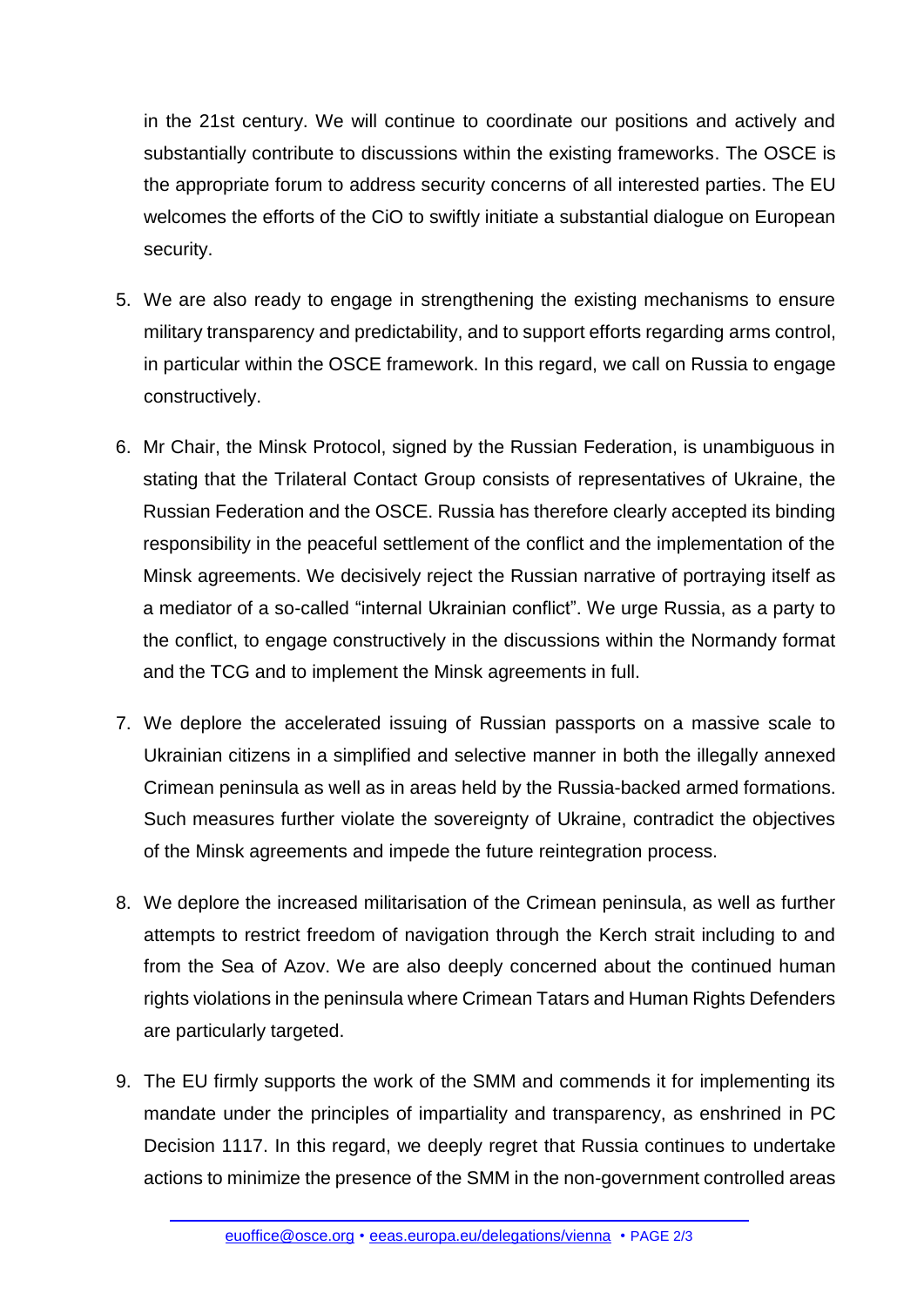in the 21st century. We will continue to coordinate our positions and actively and substantially contribute to discussions within the existing frameworks. The OSCE is the appropriate forum to address security concerns of all interested parties. The EU welcomes the efforts of the CiO to swiftly initiate a substantial dialogue on European security.

- 5. We are also ready to engage in strengthening the existing mechanisms to ensure military transparency and predictability, and to support efforts regarding arms control, in particular within the OSCE framework. In this regard, we call on Russia to engage constructively.
- 6. Mr Chair, the Minsk Protocol, signed by the Russian Federation, is unambiguous in stating that the Trilateral Contact Group consists of representatives of Ukraine, the Russian Federation and the OSCE. Russia has therefore clearly accepted its binding responsibility in the peaceful settlement of the conflict and the implementation of the Minsk agreements. We decisively reject the Russian narrative of portraying itself as a mediator of a so-called "internal Ukrainian conflict". We urge Russia, as a party to the conflict, to engage constructively in the discussions within the Normandy format and the TCG and to implement the Minsk agreements in full.
- 7. We deplore the accelerated issuing of Russian passports on a massive scale to Ukrainian citizens in a simplified and selective manner in both the illegally annexed Crimean peninsula as well as in areas held by the Russia-backed armed formations. Such measures further violate the sovereignty of Ukraine, contradict the objectives of the Minsk agreements and impede the future reintegration process.
- 8. We deplore the increased militarisation of the Crimean peninsula, as well as further attempts to restrict freedom of navigation through the Kerch strait including to and from the Sea of Azov. We are also deeply concerned about the continued human rights violations in the peninsula where Crimean Tatars and Human Rights Defenders are particularly targeted.
- 9. The EU firmly supports the work of the SMM and commends it for implementing its mandate under the principles of impartiality and transparency, as enshrined in PC Decision 1117. In this regard, we deeply regret that Russia continues to undertake actions to minimize the presence of the SMM in the non-government controlled areas